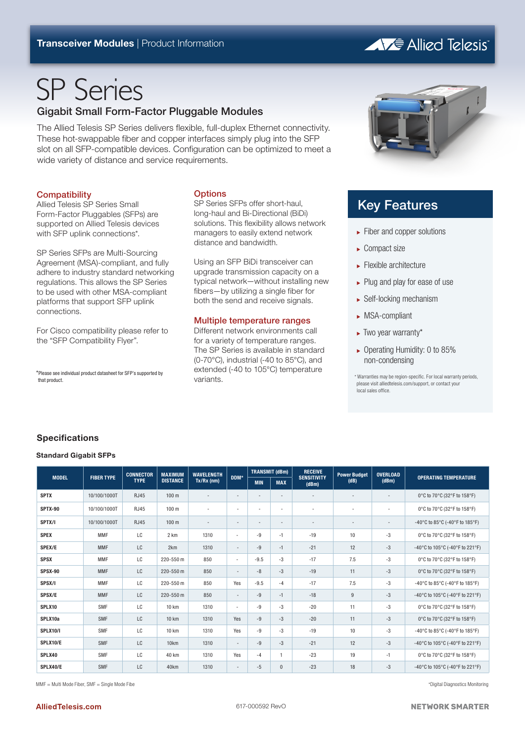# **AVE Allied Telesis**

# SP Series

## Gigabit Small Form-Factor Pluggable Modules

The Allied Telesis SP Series delivers flexible, full-duplex Ethernet connectivity. These hot-swappable fiber and copper interfaces simply plug into the SFP slot on all SFP-compatible devices. Configuration can be optimized to meet a wide variety of distance and service requirements.

## **Compatibility**

Allied Telesis SP Series Small Form-Factor Pluggables (SFPs) are supported on Allied Telesis devices with SFP uplink connections\*.

SP Series SFPs are Multi-Sourcing Agreement (MSA)-compliant, and fully adhere to industry standard networking regulations. This allows the SP Series to be used with other MSA-compliant platforms that support SFP uplink connections.

For Cisco compatibility please refer to the "SFP Compatibility Flyer".

\*Please see individual product datasheet for SFP's supported by that product.

## **Options**

SP Series SFPs offer short-haul, long-haul and Bi-Directional (BiDi) solutions. This flexibility allows network managers to easily extend network distance and bandwidth.

Using an SFP BiDi transceiver can upgrade transmission capacity on a typical network—without installing new fibers—by utilizing a single fiber for both the send and receive signals.

### Multiple temperature ranges

Different network environments call for a variety of temperature ranges. The SP Series is available in standard (0-70°C), industrial (-40 to 85°C), and extended (-40 to 105°C) temperature variants.



# Key Features

- ► Fiber and copper solutions
- $\blacktriangleright$  Compact size
- $\blacktriangleright$  Flexible architecture
- $\blacktriangleright$  Plug and play for ease of use
- ► Self-locking mechanism
- <sup>ۼ</sup> MSA-compliant
- ► Two year warranty\*
- <sup>ۼ</sup> Operating Humidity: 0 to 85% non-condensing

\* Warranties may be region-specific. For local warranty periods, please visit alliedtelesis.com/support, or contact your local sales office.

## **Specifications**

#### **Standard Gigabit SFPs**

| <b>MODEL</b>    | <b>FIBER TYPE</b> | <b>CONNECTOR</b><br><b>TYPE</b> | <b>MAXIMUM</b><br><b>DISTANCE</b> | <b>WAVELENGTH</b><br>$Tx/Rx$ (nm) | DDM*                     | <b>TRANSMIT (dBm)</b>    |                          | <b>RECEIVE</b>              | <b>Power Budget</b>      | <b>OVERLOAD</b>          |                                 |
|-----------------|-------------------|---------------------------------|-----------------------------------|-----------------------------------|--------------------------|--------------------------|--------------------------|-----------------------------|--------------------------|--------------------------|---------------------------------|
|                 |                   |                                 |                                   |                                   |                          | <b>MIN</b>               | <b>MAX</b>               | <b>SENSITIVITY</b><br>(dBm) | (dB)                     | (dBm)                    | <b>OPERATING TEMPERATURE</b>    |
| <b>SPTX</b>     | 10/100/1000T      | <b>RJ45</b>                     | 100 <sub>m</sub>                  | $\overline{\phantom{a}}$          | $\overline{\phantom{a}}$ | $\overline{\phantom{a}}$ | $\overline{\phantom{a}}$ | $\overline{\phantom{a}}$    | $\overline{\phantom{a}}$ | $\overline{\phantom{a}}$ | 0°C to 70°C (32°F to 158°F)     |
| SPTX-90         | 10/100/1000T      | <b>RJ45</b>                     | 100 <sub>m</sub>                  | ٠                                 | $\overline{\phantom{a}}$ | ٠                        | $\overline{\phantom{a}}$ | $\overline{\phantom{a}}$    | ٠                        |                          | 0°C to 70°C (32°F to 158°F)     |
| SPTX/I          | 10/100/1000T      | <b>RJ45</b>                     | 100 <sub>m</sub>                  | $\overline{\phantom{a}}$          | $\overline{\phantom{a}}$ | $\overline{\phantom{a}}$ | $\overline{\phantom{a}}$ | $\overline{\phantom{a}}$    | $\overline{\phantom{a}}$ | $\overline{\phantom{a}}$ | -40°C to 85°C (-40°F to 185°F)  |
| <b>SPEX</b>     | <b>MMF</b>        | LC                              | 2 km                              | 1310                              | $\sim$                   | -9                       | $-1$                     | $-19$                       | 10                       | $-3$                     | 0°C to 70°C (32°F to 158°F)     |
| SPEX/E          | <b>MMF</b>        | LC                              | 2km                               | 1310                              | $\overline{\phantom{a}}$ | $-9$                     | $-1$                     | $-21$                       | 12                       | $-3$                     | -40°C to 105°C (-40°F to 221°F) |
| <b>SPSX</b>     | <b>MMF</b>        | LC                              | 220-550 m                         | 850                               | $\sim$                   | $-9.5$                   | $-3$                     | $-17$                       | 7.5                      | $-3$                     | 0°C to 70°C (32°F to 158°F)     |
| SPSX-90         | <b>MMF</b>        | LC                              | 220-550 m                         | 850                               | $\overline{\phantom{a}}$ | $-8$                     | $-3$                     | $-19$                       | 11                       | $-3$                     | 0°C to 70°C (32°F to 158°F)     |
| SPSX/I          | <b>MMF</b>        | LC                              | 220-550 m                         | 850                               | Yes                      | $-9.5$                   | $-4$                     | $-17$                       | 7.5                      | $-3$                     | -40°C to 85°C (-40°F to 185°F)  |
| SPSX/E          | <b>MMF</b>        | LC                              | 220-550 m                         | 850                               | $\overline{\phantom{a}}$ | $-9$                     | $-1$                     | $-18$                       | 9                        | $-3$                     | -40°C to 105°C (-40°F to 221°F) |
| SPLX10          | <b>SMF</b>        | LC                              | 10 km                             | 1310                              | ÷.                       | $-9$                     | $-3$                     | $-20$                       | 11                       | $-3$                     | 0°C to 70°C (32°F to 158°F)     |
| SPLX10a         | <b>SMF</b>        | LC                              | <b>10 km</b>                      | 1310                              | Yes                      | $-9$                     | $-3$                     | $-20$                       | 11                       | $-3$                     | 0°C to 70°C (32°F to 158°F)     |
| <b>SPLX10/I</b> | <b>SMF</b>        | LC                              | 10 km                             | 1310                              | Yes                      | $-9$                     | $-3$                     | $-19$                       | 10                       | $-3$                     | -40°C to 85°C (-40°F to 185°F)  |
| SPLX10/E        | <b>SMF</b>        | LC                              | 10 <sub>km</sub>                  | 1310                              | $\overline{\phantom{a}}$ | $-9$                     | $-3$                     | $-21$                       | 12                       | $-3$                     | -40°C to 105°C (-40°F to 221°F) |
| SPLX40          | <b>SMF</b>        | LC                              | 40 km                             | 1310                              | Yes                      | $-4$                     | 1                        | $-23$                       | 19                       | $-1$                     | 0°C to 70°C (32°F to 158°F)     |
| SPLX40/E        | <b>SMF</b>        | LC                              | 40km                              | 1310                              | $\overline{\phantom{a}}$ | $-5$                     | $\mathbf{0}$             | $-23$                       | 18                       | $-3$                     | -40°C to 105°C (-40°F to 221°F) |

MMF = Multi Mode Fiber, SMF = Single Mode Fibe \*Digital Diagnostics Monitoring